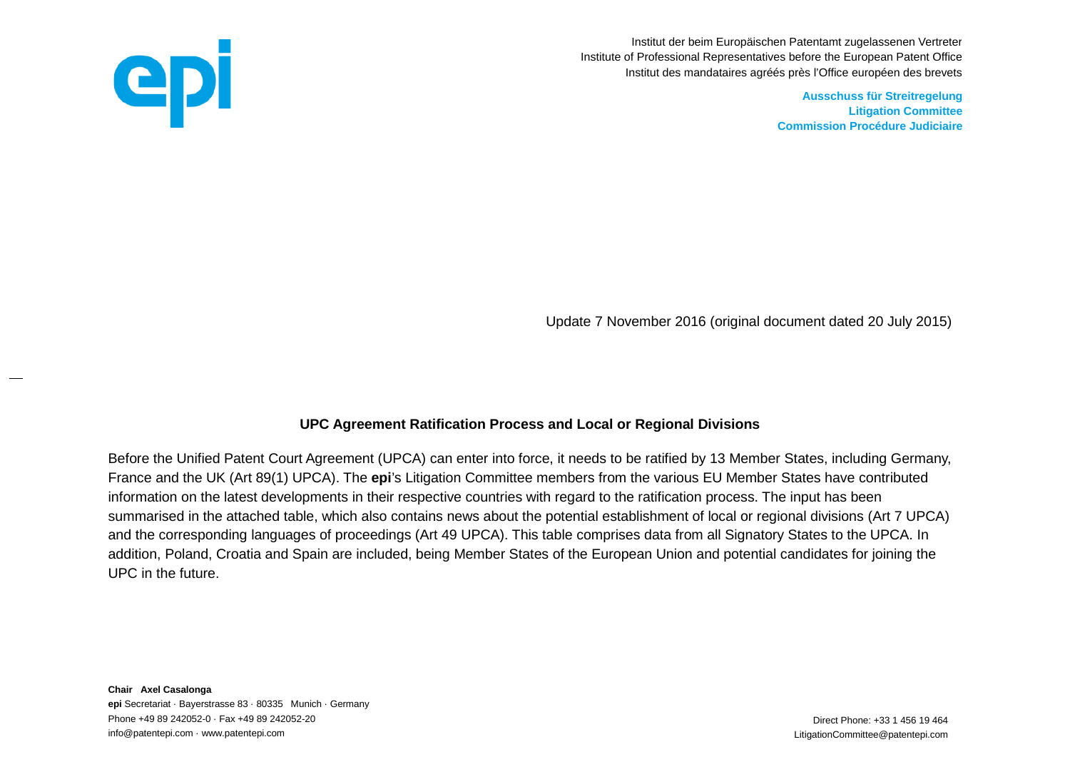

Institut der beim Europäischen Patentamt zugelassenen Vertreter Institute of Professional Representatives before the European Patent Office Institut des mandataires agréés près l'Office européen des brevets

> **Ausschuss für Streitregelung Litigation Committee Commission Procédure Judiciaire**

Update 7 November 2016 (original document dated 20 July 2015)

## **UPC Agreement Ratification Process and Local or Regional Divisions**

Before the Unified Patent Court Agreement (UPCA) can enter into force, it needs to be ratified by 13 Member States, including Germany, France and the UK (Art 89(1) UPCA). The **epi**'s Litigation Committee members from the various EU Member States have contributed information on the latest developments in their respective countries with regard to the ratification process. The input has been summarised in the attached table, which also contains news about the potential establishment of local or regional divisions (Art 7 UPCA) and the corresponding languages of proceedings (Art 49 UPCA). This table comprises data from all Signatory States to the UPCA. In addition, Poland, Croatia and Spain are included, being Member States of the European Union and potential candidates for joining the UPC in the future.

**Chair Axel Casalonga epi** Secretariat · Bayerstrasse 83 · 80335 Munich · Germany Phone +49 89 242052-0 · Fax +49 89 242052-20 **Phone: +33 1 456 19 464** Direct Phone: +33 1 456 19 464 info@patentepi.com · www.patentepi.com LitigationCommittee@patentepi.com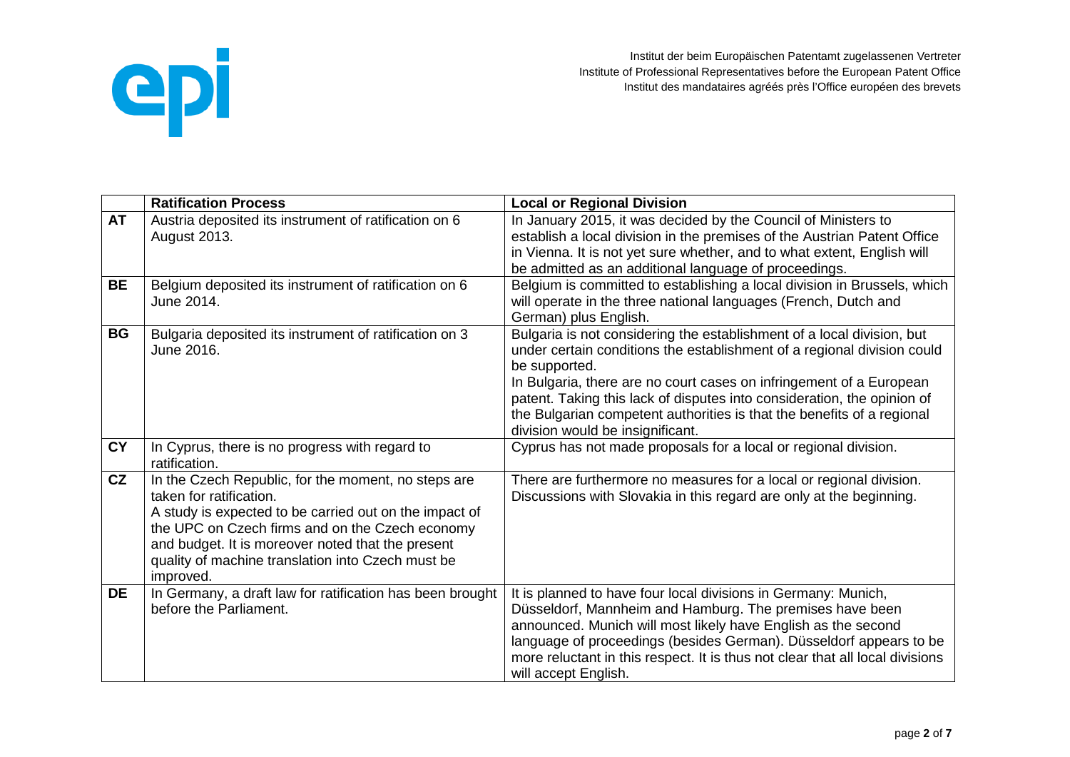

|           | <b>Ratification Process</b>                                                                                                                                                                                                                                                                                        | <b>Local or Regional Division</b>                                                                                                                                                                                                                                                                                                                                                                                                  |
|-----------|--------------------------------------------------------------------------------------------------------------------------------------------------------------------------------------------------------------------------------------------------------------------------------------------------------------------|------------------------------------------------------------------------------------------------------------------------------------------------------------------------------------------------------------------------------------------------------------------------------------------------------------------------------------------------------------------------------------------------------------------------------------|
| <b>AT</b> | Austria deposited its instrument of ratification on 6<br><b>August 2013.</b>                                                                                                                                                                                                                                       | In January 2015, it was decided by the Council of Ministers to<br>establish a local division in the premises of the Austrian Patent Office                                                                                                                                                                                                                                                                                         |
|           |                                                                                                                                                                                                                                                                                                                    | in Vienna. It is not yet sure whether, and to what extent, English will<br>be admitted as an additional language of proceedings.                                                                                                                                                                                                                                                                                                   |
| <b>BE</b> | Belgium deposited its instrument of ratification on 6<br>June 2014.                                                                                                                                                                                                                                                | Belgium is committed to establishing a local division in Brussels, which<br>will operate in the three national languages (French, Dutch and<br>German) plus English.                                                                                                                                                                                                                                                               |
| <b>BG</b> | Bulgaria deposited its instrument of ratification on 3<br>June 2016.                                                                                                                                                                                                                                               | Bulgaria is not considering the establishment of a local division, but<br>under certain conditions the establishment of a regional division could<br>be supported.<br>In Bulgaria, there are no court cases on infringement of a European<br>patent. Taking this lack of disputes into consideration, the opinion of<br>the Bulgarian competent authorities is that the benefits of a regional<br>division would be insignificant. |
| <b>CY</b> | In Cyprus, there is no progress with regard to<br>ratification.                                                                                                                                                                                                                                                    | Cyprus has not made proposals for a local or regional division.                                                                                                                                                                                                                                                                                                                                                                    |
| CZ        | In the Czech Republic, for the moment, no steps are<br>taken for ratification.<br>A study is expected to be carried out on the impact of<br>the UPC on Czech firms and on the Czech economy<br>and budget. It is moreover noted that the present<br>quality of machine translation into Czech must be<br>improved. | There are furthermore no measures for a local or regional division.<br>Discussions with Slovakia in this regard are only at the beginning.                                                                                                                                                                                                                                                                                         |
| <b>DE</b> | In Germany, a draft law for ratification has been brought<br>before the Parliament.                                                                                                                                                                                                                                | It is planned to have four local divisions in Germany: Munich,<br>Düsseldorf, Mannheim and Hamburg. The premises have been<br>announced. Munich will most likely have English as the second<br>language of proceedings (besides German). Düsseldorf appears to be<br>more reluctant in this respect. It is thus not clear that all local divisions<br>will accept English.                                                         |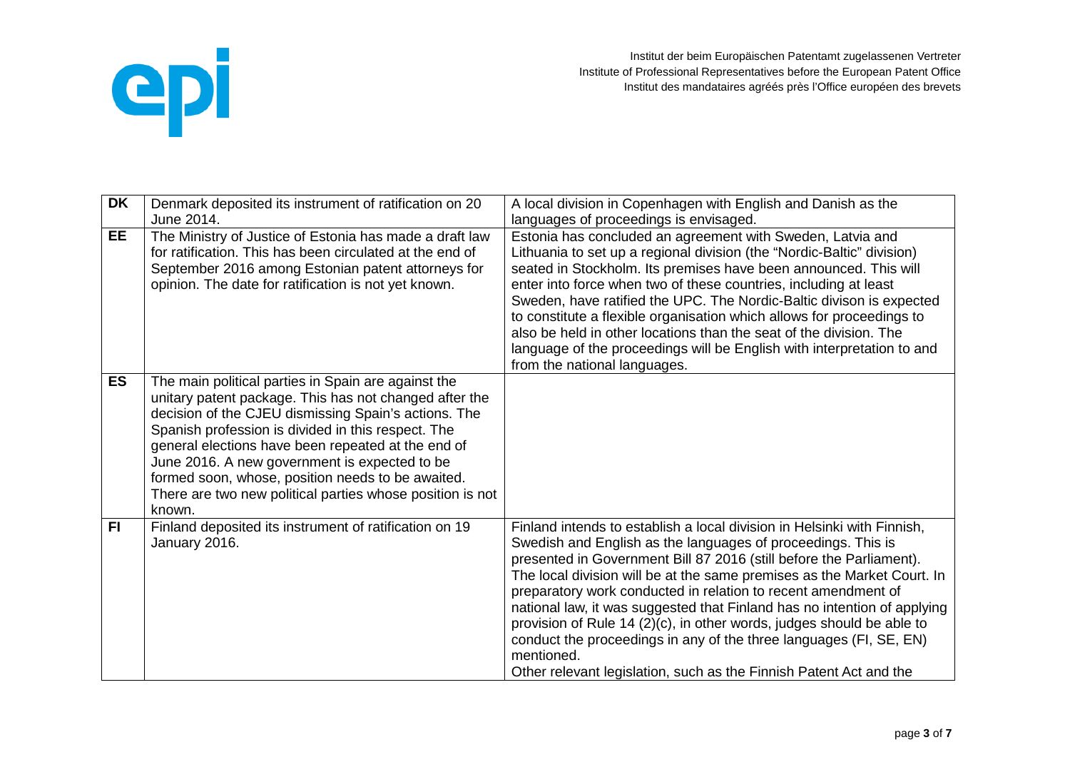

| <b>DK</b> | Denmark deposited its instrument of ratification on 20                                                                                                                                                                                                                                                                                                                                                                                                         | A local division in Copenhagen with English and Danish as the                                                                                                                                                                                                                                                                                                                                                                                                                                                                                                                                                                                                             |
|-----------|----------------------------------------------------------------------------------------------------------------------------------------------------------------------------------------------------------------------------------------------------------------------------------------------------------------------------------------------------------------------------------------------------------------------------------------------------------------|---------------------------------------------------------------------------------------------------------------------------------------------------------------------------------------------------------------------------------------------------------------------------------------------------------------------------------------------------------------------------------------------------------------------------------------------------------------------------------------------------------------------------------------------------------------------------------------------------------------------------------------------------------------------------|
|           | June 2014.                                                                                                                                                                                                                                                                                                                                                                                                                                                     | languages of proceedings is envisaged.                                                                                                                                                                                                                                                                                                                                                                                                                                                                                                                                                                                                                                    |
| <b>EE</b> | The Ministry of Justice of Estonia has made a draft law<br>for ratification. This has been circulated at the end of<br>September 2016 among Estonian patent attorneys for<br>opinion. The date for ratification is not yet known.                                                                                                                                                                                                                              | Estonia has concluded an agreement with Sweden, Latvia and<br>Lithuania to set up a regional division (the "Nordic-Baltic" division)<br>seated in Stockholm. Its premises have been announced. This will<br>enter into force when two of these countries, including at least<br>Sweden, have ratified the UPC. The Nordic-Baltic divison is expected<br>to constitute a flexible organisation which allows for proceedings to<br>also be held in other locations than the seat of the division. The<br>language of the proceedings will be English with interpretation to and<br>from the national languages.                                                             |
| <b>ES</b> | The main political parties in Spain are against the<br>unitary patent package. This has not changed after the<br>decision of the CJEU dismissing Spain's actions. The<br>Spanish profession is divided in this respect. The<br>general elections have been repeated at the end of<br>June 2016. A new government is expected to be<br>formed soon, whose, position needs to be awaited.<br>There are two new political parties whose position is not<br>known. |                                                                                                                                                                                                                                                                                                                                                                                                                                                                                                                                                                                                                                                                           |
| <b>FI</b> | Finland deposited its instrument of ratification on 19<br>January 2016.                                                                                                                                                                                                                                                                                                                                                                                        | Finland intends to establish a local division in Helsinki with Finnish,<br>Swedish and English as the languages of proceedings. This is<br>presented in Government Bill 87 2016 (still before the Parliament).<br>The local division will be at the same premises as the Market Court. In<br>preparatory work conducted in relation to recent amendment of<br>national law, it was suggested that Finland has no intention of applying<br>provision of Rule 14 (2)(c), in other words, judges should be able to<br>conduct the proceedings in any of the three languages (FI, SE, EN)<br>mentioned.<br>Other relevant legislation, such as the Finnish Patent Act and the |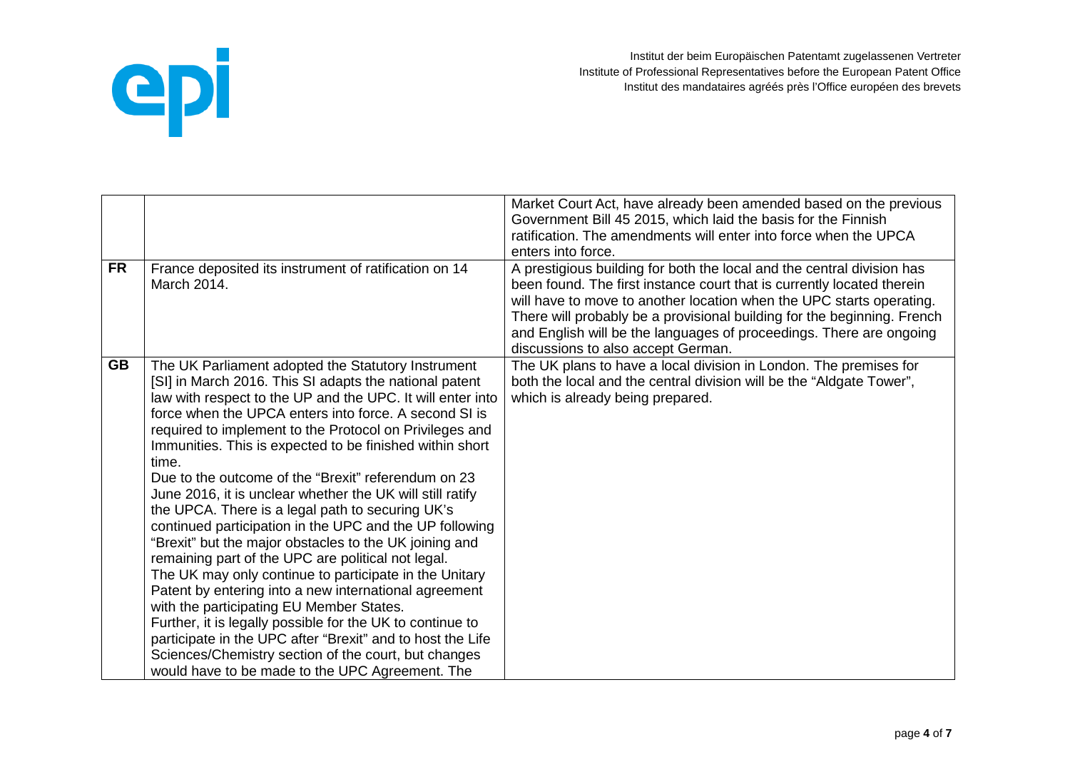

|           |                                                                                                                                                                                                                                                                                                                                                                                                                                                                                                                                                                                                                                                                                                                                                                                                                                                                                                                                                                                                                                                                                                                             | Market Court Act, have already been amended based on the previous<br>Government Bill 45 2015, which laid the basis for the Finnish<br>ratification. The amendments will enter into force when the UPCA<br>enters into force.                                                                                                                                                                                     |
|-----------|-----------------------------------------------------------------------------------------------------------------------------------------------------------------------------------------------------------------------------------------------------------------------------------------------------------------------------------------------------------------------------------------------------------------------------------------------------------------------------------------------------------------------------------------------------------------------------------------------------------------------------------------------------------------------------------------------------------------------------------------------------------------------------------------------------------------------------------------------------------------------------------------------------------------------------------------------------------------------------------------------------------------------------------------------------------------------------------------------------------------------------|------------------------------------------------------------------------------------------------------------------------------------------------------------------------------------------------------------------------------------------------------------------------------------------------------------------------------------------------------------------------------------------------------------------|
| <b>FR</b> | France deposited its instrument of ratification on 14<br>March 2014.                                                                                                                                                                                                                                                                                                                                                                                                                                                                                                                                                                                                                                                                                                                                                                                                                                                                                                                                                                                                                                                        | A prestigious building for both the local and the central division has<br>been found. The first instance court that is currently located therein<br>will have to move to another location when the UPC starts operating.<br>There will probably be a provisional building for the beginning. French<br>and English will be the languages of proceedings. There are ongoing<br>discussions to also accept German. |
| <b>GB</b> | The UK Parliament adopted the Statutory Instrument<br>[SI] in March 2016. This SI adapts the national patent<br>law with respect to the UP and the UPC. It will enter into<br>force when the UPCA enters into force. A second SI is<br>required to implement to the Protocol on Privileges and<br>Immunities. This is expected to be finished within short<br>time.<br>Due to the outcome of the "Brexit" referendum on 23<br>June 2016, it is unclear whether the UK will still ratify<br>the UPCA. There is a legal path to securing UK's<br>continued participation in the UPC and the UP following<br>"Brexit" but the major obstacles to the UK joining and<br>remaining part of the UPC are political not legal.<br>The UK may only continue to participate in the Unitary<br>Patent by entering into a new international agreement<br>with the participating EU Member States.<br>Further, it is legally possible for the UK to continue to<br>participate in the UPC after "Brexit" and to host the Life<br>Sciences/Chemistry section of the court, but changes<br>would have to be made to the UPC Agreement. The | The UK plans to have a local division in London. The premises for<br>both the local and the central division will be the "Aldgate Tower",<br>which is already being prepared.                                                                                                                                                                                                                                    |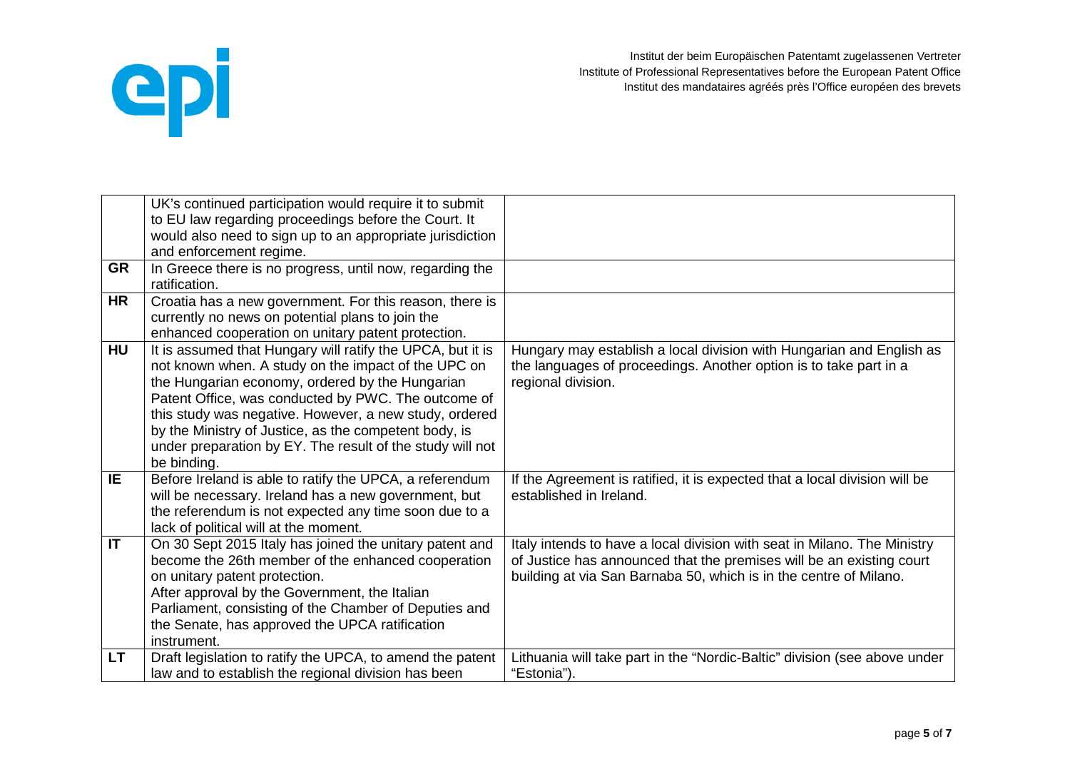

|           | UK's continued participation would require it to submit<br>to EU law regarding proceedings before the Court. It<br>would also need to sign up to an appropriate jurisdiction                                                                                                                                                                                                                                               |                                                                                                                                                                                                                       |
|-----------|----------------------------------------------------------------------------------------------------------------------------------------------------------------------------------------------------------------------------------------------------------------------------------------------------------------------------------------------------------------------------------------------------------------------------|-----------------------------------------------------------------------------------------------------------------------------------------------------------------------------------------------------------------------|
| <b>GR</b> | and enforcement regime.<br>In Greece there is no progress, until now, regarding the<br>ratification.                                                                                                                                                                                                                                                                                                                       |                                                                                                                                                                                                                       |
| <b>HR</b> | Croatia has a new government. For this reason, there is<br>currently no news on potential plans to join the<br>enhanced cooperation on unitary patent protection.                                                                                                                                                                                                                                                          |                                                                                                                                                                                                                       |
| <b>HU</b> | It is assumed that Hungary will ratify the UPCA, but it is<br>not known when. A study on the impact of the UPC on<br>the Hungarian economy, ordered by the Hungarian<br>Patent Office, was conducted by PWC. The outcome of<br>this study was negative. However, a new study, ordered<br>by the Ministry of Justice, as the competent body, is<br>under preparation by EY. The result of the study will not<br>be binding. | Hungary may establish a local division with Hungarian and English as<br>the languages of proceedings. Another option is to take part in a<br>regional division.                                                       |
| IE.       | Before Ireland is able to ratify the UPCA, a referendum<br>will be necessary. Ireland has a new government, but<br>the referendum is not expected any time soon due to a<br>lack of political will at the moment.                                                                                                                                                                                                          | If the Agreement is ratified, it is expected that a local division will be<br>established in Ireland.                                                                                                                 |
| IT        | On 30 Sept 2015 Italy has joined the unitary patent and<br>become the 26th member of the enhanced cooperation<br>on unitary patent protection.<br>After approval by the Government, the Italian<br>Parliament, consisting of the Chamber of Deputies and<br>the Senate, has approved the UPCA ratification<br>instrument.                                                                                                  | Italy intends to have a local division with seat in Milano. The Ministry<br>of Justice has announced that the premises will be an existing court<br>building at via San Barnaba 50, which is in the centre of Milano. |
| LT.       | Draft legislation to ratify the UPCA, to amend the patent<br>law and to establish the regional division has been                                                                                                                                                                                                                                                                                                           | Lithuania will take part in the "Nordic-Baltic" division (see above under<br>"Estonia").                                                                                                                              |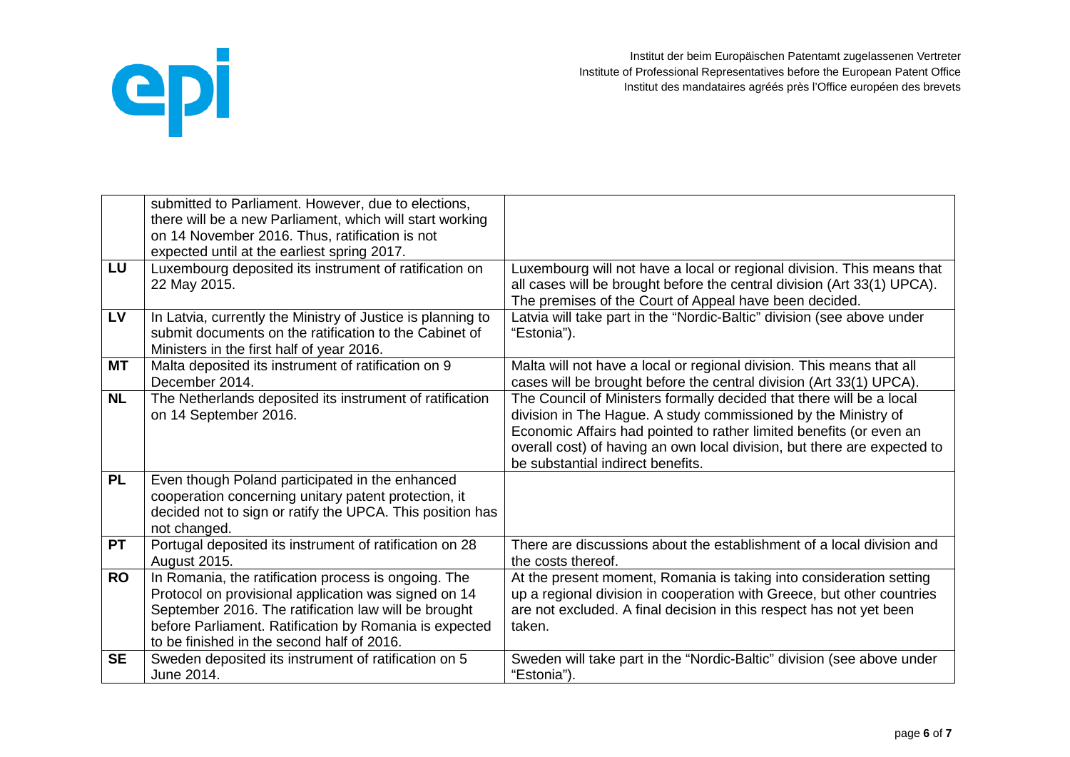

|           | submitted to Parliament. However, due to elections,<br>there will be a new Parliament, which will start working                                                                                                                                                              |                                                                                                                                                                                                                                                                                                                                |
|-----------|------------------------------------------------------------------------------------------------------------------------------------------------------------------------------------------------------------------------------------------------------------------------------|--------------------------------------------------------------------------------------------------------------------------------------------------------------------------------------------------------------------------------------------------------------------------------------------------------------------------------|
|           | on 14 November 2016. Thus, ratification is not<br>expected until at the earliest spring 2017.                                                                                                                                                                                |                                                                                                                                                                                                                                                                                                                                |
| LU        | Luxembourg deposited its instrument of ratification on<br>22 May 2015.                                                                                                                                                                                                       | Luxembourg will not have a local or regional division. This means that<br>all cases will be brought before the central division (Art 33(1) UPCA).<br>The premises of the Court of Appeal have been decided.                                                                                                                    |
| <b>LV</b> | In Latvia, currently the Ministry of Justice is planning to<br>submit documents on the ratification to the Cabinet of<br>Ministers in the first half of year 2016.                                                                                                           | Latvia will take part in the "Nordic-Baltic" division (see above under<br>"Estonia").                                                                                                                                                                                                                                          |
| <b>MT</b> | Malta deposited its instrument of ratification on 9<br>December 2014.                                                                                                                                                                                                        | Malta will not have a local or regional division. This means that all<br>cases will be brought before the central division (Art 33(1) UPCA).                                                                                                                                                                                   |
| <b>NL</b> | The Netherlands deposited its instrument of ratification<br>on 14 September 2016.                                                                                                                                                                                            | The Council of Ministers formally decided that there will be a local<br>division in The Hague. A study commissioned by the Ministry of<br>Economic Affairs had pointed to rather limited benefits (or even an<br>overall cost) of having an own local division, but there are expected to<br>be substantial indirect benefits. |
| <b>PL</b> | Even though Poland participated in the enhanced<br>cooperation concerning unitary patent protection, it<br>decided not to sign or ratify the UPCA. This position has<br>not changed.                                                                                         |                                                                                                                                                                                                                                                                                                                                |
| <b>PT</b> | Portugal deposited its instrument of ratification on 28<br>August 2015.                                                                                                                                                                                                      | There are discussions about the establishment of a local division and<br>the costs thereof.                                                                                                                                                                                                                                    |
| <b>RO</b> | In Romania, the ratification process is ongoing. The<br>Protocol on provisional application was signed on 14<br>September 2016. The ratification law will be brought<br>before Parliament. Ratification by Romania is expected<br>to be finished in the second half of 2016. | At the present moment, Romania is taking into consideration setting<br>up a regional division in cooperation with Greece, but other countries<br>are not excluded. A final decision in this respect has not yet been<br>taken.                                                                                                 |
| <b>SE</b> | Sweden deposited its instrument of ratification on 5<br>June 2014.                                                                                                                                                                                                           | Sweden will take part in the "Nordic-Baltic" division (see above under<br>"Estonia").                                                                                                                                                                                                                                          |